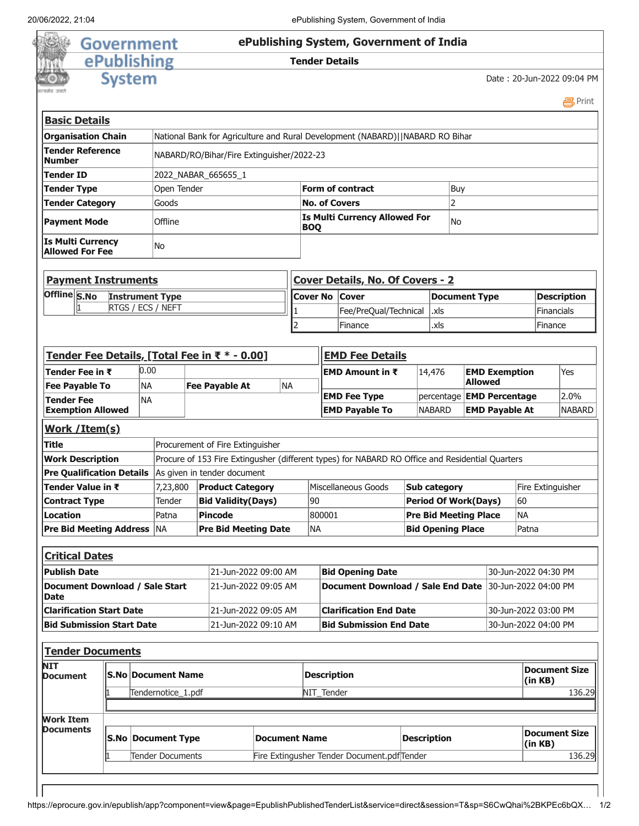

| <b>Basic Details</b>                               |                     |                                                                               |           |  |  |  |  |
|----------------------------------------------------|---------------------|-------------------------------------------------------------------------------|-----------|--|--|--|--|
| <b>Organisation Chain</b>                          |                     | National Bank for Agriculture and Rural Development (NABARD)  NABARD RO Bihar |           |  |  |  |  |
| <b>Tender Reference</b><br><b>Number</b>           |                     | NABARD/RO/Bihar/Fire Extinguisher/2022-23                                     |           |  |  |  |  |
| <b>Tender ID</b>                                   | 2022 NABAR 665655 1 |                                                                               |           |  |  |  |  |
| <b>Tender Type</b>                                 | Open Tender         | Form of contract<br>Buy                                                       |           |  |  |  |  |
| <b>Tender Category</b>                             | Goods               | <b>No. of Covers</b>                                                          |           |  |  |  |  |
| <b>Payment Mode</b>                                | Offline             | Is Multi Currency Allowed For<br><b>BOQ</b>                                   | <b>No</b> |  |  |  |  |
| <b>Is Multi Currency</b><br><b>Allowed For Fee</b> | No                  |                                                                               |           |  |  |  |  |

| <b>Payment Instruments</b> |                          | Cover Details, No. Of Covers - 2 |                              |               |                    |  |  |  |  |
|----------------------------|--------------------------|----------------------------------|------------------------------|---------------|--------------------|--|--|--|--|
| Offline S.No               | <b>Instrument Type</b>   | <b>Cover No Cover</b>            |                              | Document Type | <b>Description</b> |  |  |  |  |
|                            | <b>RTGS / ECS / NEFT</b> |                                  | Fee/PreQual/Technical   .xls |               | Financials         |  |  |  |  |
|                            |                          |                                  | Finance                      | .xls          | Finance            |  |  |  |  |

| Tender Fee Details, [Total Fee in ₹ * - 0.00]        |               |           |                                                   |  | <b>EMD Fee Details</b>           |                     |           |                                                                                                 |                                 |                                  |           |                                 |                   |               |
|------------------------------------------------------|---------------|-----------|---------------------------------------------------|--|----------------------------------|---------------------|-----------|-------------------------------------------------------------------------------------------------|---------------------------------|----------------------------------|-----------|---------------------------------|-------------------|---------------|
| Tender Fee in ₹                                      |               | 0.00      |                                                   |  |                                  |                     |           | <b>EMD Amount in <math>\bar{x}</math></b>                                                       |                                 | 14,476                           |           | <b>EMD Exemption</b>            |                   | Yes           |
| <b>Fee Payable To</b>                                |               | <b>NA</b> |                                                   |  | <b>Fee Payable At</b>            | <b>NA</b>           |           |                                                                                                 |                                 | <b>Allowed</b>                   |           |                                 |                   |               |
| <b>Tender Fee</b>                                    | <b>NA</b>     |           |                                                   |  |                                  | <b>EMD Fee Type</b> |           |                                                                                                 |                                 | percentage <b>EMD Percentage</b> |           | 2.0%                            |                   |               |
| <b>Exemption Allowed</b>                             |               |           |                                                   |  |                                  |                     |           | <b>EMD Payable To</b>                                                                           |                                 | <b>NABARD</b>                    |           | <b>EMD Payable At</b>           |                   | <b>NABARD</b> |
|                                                      | Work /Item(s) |           |                                                   |  |                                  |                     |           |                                                                                                 |                                 |                                  |           |                                 |                   |               |
| <b>Title</b>                                         |               |           |                                                   |  | Procurement of Fire Extinguisher |                     |           |                                                                                                 |                                 |                                  |           |                                 |                   |               |
| <b>Work Description</b>                              |               |           |                                                   |  |                                  |                     |           | Procure of 153 Fire Extingusher (different types) for NABARD RO Office and Residential Quarters |                                 |                                  |           |                                 |                   |               |
| <b>Pre Qualification Details</b>                     |               |           |                                                   |  | As given in tender document      |                     |           |                                                                                                 |                                 |                                  |           |                                 |                   |               |
| Tender Value in ₹                                    |               |           | 7,23,800                                          |  | <b>Product Category</b>          |                     |           | Miscellaneous Goods                                                                             |                                 | Sub category                     |           |                                 | Fire Extinguisher |               |
| <b>Contract Type</b>                                 |               |           | Tender                                            |  | <b>Bid Validity(Days)</b>        |                     | 90        |                                                                                                 |                                 | <b>Period Of Work(Days)</b>      |           |                                 | 60                |               |
| <b>Location</b>                                      |               |           | Patna                                             |  | <b>Pincode</b>                   |                     |           | 800001                                                                                          |                                 | <b>Pre Bid Meeting Place</b>     | <b>NA</b> |                                 |                   |               |
| <b>Pre Bid Meeting Address</b>                       |               |           | <b>NA</b>                                         |  | <b>Pre Bid Meeting Date</b>      |                     | <b>NA</b> |                                                                                                 |                                 | <b>Bid Opening Place</b>         |           |                                 | Patna             |               |
|                                                      |               |           |                                                   |  |                                  |                     |           |                                                                                                 |                                 |                                  |           |                                 |                   |               |
| <b>Critical Dates</b>                                |               |           |                                                   |  |                                  |                     |           |                                                                                                 |                                 |                                  |           |                                 |                   |               |
| <b>Publish Date</b>                                  |               |           |                                                   |  | 21-Jun-2022 09:00 AM             |                     |           | <b>Bid Opening Date</b>                                                                         |                                 |                                  |           | 30-Jun-2022 04:30 PM            |                   |               |
| <b>Document Download / Sale Start</b><br><b>Date</b> |               |           |                                                   |  | 21-Jun-2022 09:05 AM             |                     |           | <b>Document Download / Sale End Date</b><br>30-Jun-2022 04:00 PM                                |                                 |                                  |           |                                 |                   |               |
| <b>Clarification Start Date</b>                      |               |           |                                                   |  | 21-Jun-2022 09:05 AM             |                     |           | <b>Clarification End Date</b>                                                                   |                                 |                                  |           | 30-Jun-2022 03:00 PM            |                   |               |
| <b>Bid Submission Start Date</b>                     |               |           |                                                   |  | 21-Jun-2022 09:10 AM             |                     |           | <b>Bid Submission End Date</b>                                                                  |                                 |                                  |           | 30-Jun-2022 04:00 PM            |                   |               |
|                                                      |               |           |                                                   |  |                                  |                     |           |                                                                                                 |                                 |                                  |           |                                 |                   |               |
| <b>Tender Documents</b>                              |               |           |                                                   |  |                                  |                     |           |                                                                                                 |                                 |                                  |           |                                 |                   |               |
| <b>NIT</b><br><b>Document</b>                        |               |           | <b>S.No Document Name</b>                         |  |                                  |                     |           | <b>Description</b>                                                                              |                                 |                                  |           | <b>Document Size</b><br>(in KB) |                   |               |
|                                                      |               |           | Tendernotice_1.pdf                                |  |                                  |                     |           | NIT_Tender                                                                                      |                                 |                                  |           |                                 | 136.29            |               |
|                                                      |               |           |                                                   |  |                                  |                     |           |                                                                                                 |                                 |                                  |           |                                 |                   |               |
| <b>Work Item</b>                                     |               |           |                                                   |  |                                  |                     |           |                                                                                                 |                                 |                                  |           |                                 |                   |               |
| Documents                                            |               |           | <b>S.No Document Type</b><br><b>Document Name</b> |  |                                  | <b>Description</b>  |           |                                                                                                 | <b>Document Size</b><br>(in KB) |                                  |           |                                 |                   |               |
|                                                      |               |           | Tender Documents                                  |  |                                  |                     |           | Fire Extingusher Tender Document.pdfTender                                                      |                                 |                                  |           | 136.29                          |                   |               |
|                                                      |               |           |                                                   |  |                                  |                     |           |                                                                                                 |                                 |                                  |           |                                 |                   |               |

https://eprocure.gov.in/epublish/app?component=view&page=EpublishPublishedTenderList&service=direct&session=T&sp=S6CwQhai%2BKPEc6bQX… 1/2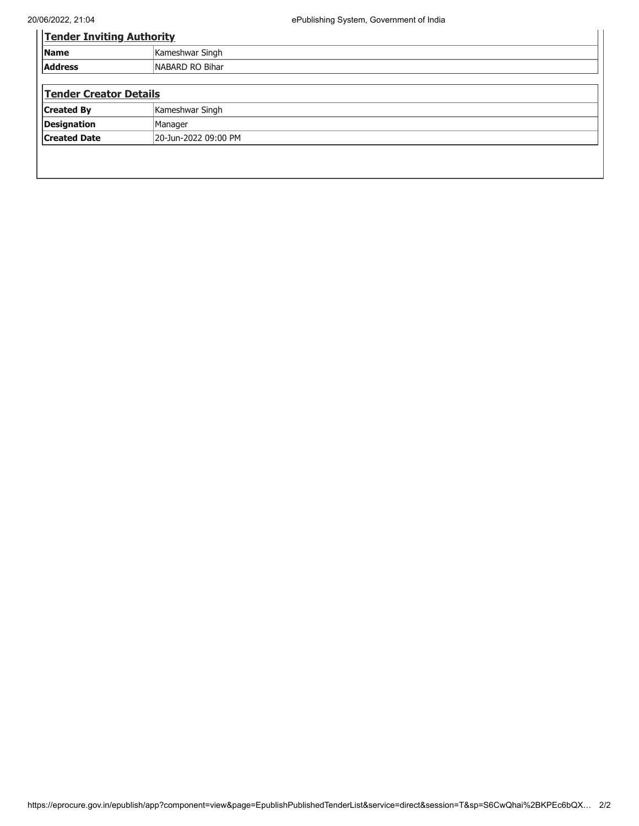| <b>Tender Inviting Authority</b> |  |  |  |  |
|----------------------------------|--|--|--|--|
| Kameshwar Singh                  |  |  |  |  |
| NABARD RO Bihar                  |  |  |  |  |
|                                  |  |  |  |  |
| <b>Tender Creator Details</b>    |  |  |  |  |
| Kameshwar Singh                  |  |  |  |  |
| Manager                          |  |  |  |  |
| 20-Jun-2022 09:00 PM             |  |  |  |  |
|                                  |  |  |  |  |
|                                  |  |  |  |  |
|                                  |  |  |  |  |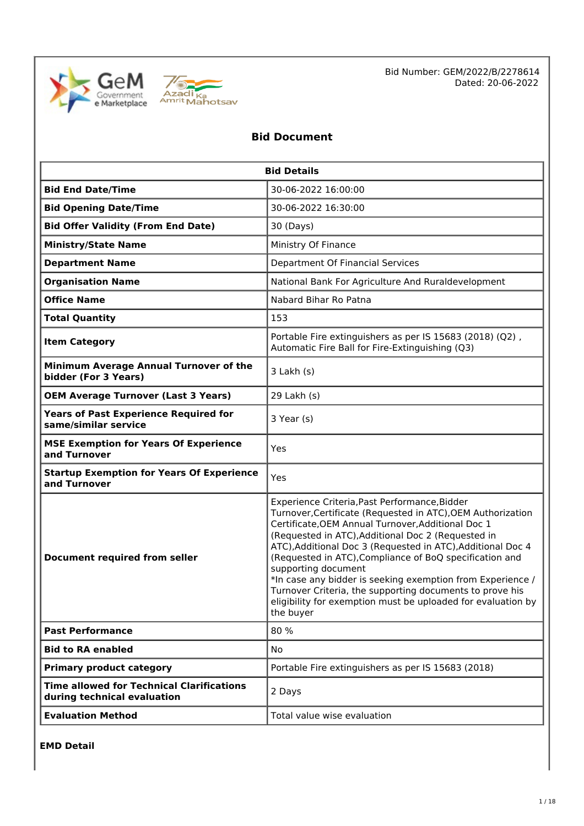



Bid Number: GEM/2022/B/2278614 Dated: 20-06-2022

# **Bid Document**

| <b>Bid Details</b>                                                              |                                                                                                                                                                                                                                                                                                                                                                                                                                                                                                                                                                                  |  |  |  |
|---------------------------------------------------------------------------------|----------------------------------------------------------------------------------------------------------------------------------------------------------------------------------------------------------------------------------------------------------------------------------------------------------------------------------------------------------------------------------------------------------------------------------------------------------------------------------------------------------------------------------------------------------------------------------|--|--|--|
| <b>Bid End Date/Time</b>                                                        | 30-06-2022 16:00:00                                                                                                                                                                                                                                                                                                                                                                                                                                                                                                                                                              |  |  |  |
| <b>Bid Opening Date/Time</b>                                                    | 30-06-2022 16:30:00                                                                                                                                                                                                                                                                                                                                                                                                                                                                                                                                                              |  |  |  |
| <b>Bid Offer Validity (From End Date)</b>                                       | 30 (Days)                                                                                                                                                                                                                                                                                                                                                                                                                                                                                                                                                                        |  |  |  |
| <b>Ministry/State Name</b>                                                      | Ministry Of Finance                                                                                                                                                                                                                                                                                                                                                                                                                                                                                                                                                              |  |  |  |
| <b>Department Name</b>                                                          | Department Of Financial Services                                                                                                                                                                                                                                                                                                                                                                                                                                                                                                                                                 |  |  |  |
| <b>Organisation Name</b>                                                        | National Bank For Agriculture And Ruraldevelopment                                                                                                                                                                                                                                                                                                                                                                                                                                                                                                                               |  |  |  |
| <b>Office Name</b>                                                              | Nabard Bihar Ro Patna                                                                                                                                                                                                                                                                                                                                                                                                                                                                                                                                                            |  |  |  |
| <b>Total Quantity</b>                                                           | 153                                                                                                                                                                                                                                                                                                                                                                                                                                                                                                                                                                              |  |  |  |
| <b>Item Category</b>                                                            | Portable Fire extinguishers as per IS 15683 (2018) (Q2),<br>Automatic Fire Ball for Fire-Extinguishing (Q3)                                                                                                                                                                                                                                                                                                                                                                                                                                                                      |  |  |  |
| Minimum Average Annual Turnover of the<br>bidder (For 3 Years)                  | $3$ Lakh $(s)$                                                                                                                                                                                                                                                                                                                                                                                                                                                                                                                                                                   |  |  |  |
| <b>OEM Average Turnover (Last 3 Years)</b>                                      | 29 Lakh (s)                                                                                                                                                                                                                                                                                                                                                                                                                                                                                                                                                                      |  |  |  |
| <b>Years of Past Experience Required for</b><br>same/similar service            | 3 Year (s)                                                                                                                                                                                                                                                                                                                                                                                                                                                                                                                                                                       |  |  |  |
| <b>MSE Exemption for Years Of Experience</b><br>and Turnover                    | Yes                                                                                                                                                                                                                                                                                                                                                                                                                                                                                                                                                                              |  |  |  |
| <b>Startup Exemption for Years Of Experience</b><br>and Turnover                | Yes                                                                                                                                                                                                                                                                                                                                                                                                                                                                                                                                                                              |  |  |  |
| <b>Document required from seller</b>                                            | Experience Criteria, Past Performance, Bidder<br>Turnover, Certificate (Requested in ATC), OEM Authorization<br>Certificate, OEM Annual Turnover, Additional Doc 1<br>(Requested in ATC), Additional Doc 2 (Requested in<br>ATC), Additional Doc 3 (Requested in ATC), Additional Doc 4<br>(Requested in ATC), Compliance of BoQ specification and<br>supporting document<br>*In case any bidder is seeking exemption from Experience /<br>Turnover Criteria, the supporting documents to prove his<br>eligibility for exemption must be uploaded for evaluation by<br>the buyer |  |  |  |
| <b>Past Performance</b>                                                         | 80 %                                                                                                                                                                                                                                                                                                                                                                                                                                                                                                                                                                             |  |  |  |
| <b>Bid to RA enabled</b>                                                        | No                                                                                                                                                                                                                                                                                                                                                                                                                                                                                                                                                                               |  |  |  |
| <b>Primary product category</b>                                                 | Portable Fire extinguishers as per IS 15683 (2018)                                                                                                                                                                                                                                                                                                                                                                                                                                                                                                                               |  |  |  |
| <b>Time allowed for Technical Clarifications</b><br>during technical evaluation | 2 Days                                                                                                                                                                                                                                                                                                                                                                                                                                                                                                                                                                           |  |  |  |
| <b>Evaluation Method</b>                                                        | Total value wise evaluation                                                                                                                                                                                                                                                                                                                                                                                                                                                                                                                                                      |  |  |  |

**EMD Detail**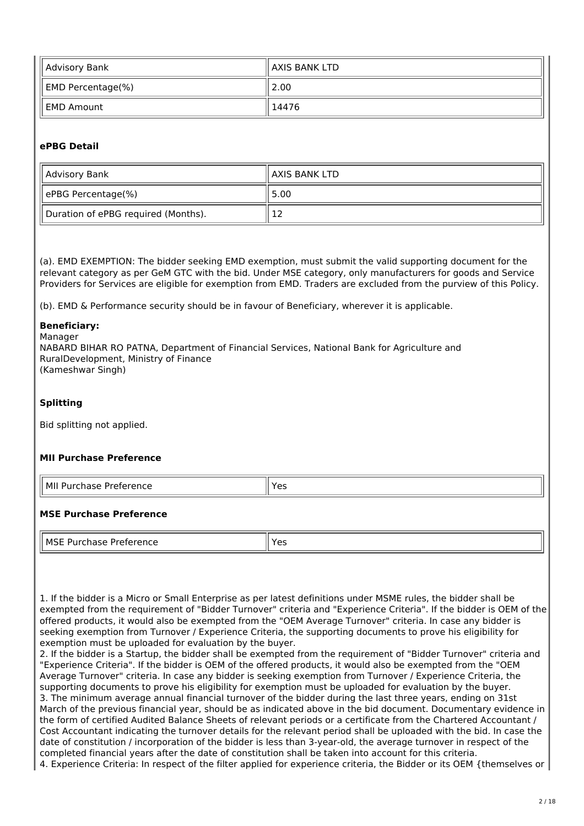| Advisory Bank                 | ll AXIS BANK LTD |  |  |
|-------------------------------|------------------|--|--|
| $\parallel$ EMD Percentage(%) | 2.00             |  |  |
| EMD Amount                    | 14476            |  |  |

# **ePBG Detail**

| Advisory Bank                       | ll AXIS BANK LTD |
|-------------------------------------|------------------|
| ePBG Percentage(%)                  | 5.00             |
| Duration of ePBG required (Months). | ∸                |

(a). EMD EXEMPTION: The bidder seeking EMD exemption, must submit the valid supporting document for the relevant category as per GeM GTC with the bid. Under MSE category, only manufacturers for goods and Service Providers for Services are eligible for exemption from EMD. Traders are excluded from the purview of this Policy.

(b). EMD & Performance security should be in favour of Beneficiary, wherever it is applicable.

#### **Beneficiary:**

Manager NABARD BIHAR RO PATNA, Department of Financial Services, National Bank for Agriculture and RuralDevelopment, Ministry of Finance (Kameshwar Singh)

## **Splitting**

Bid splitting not applied.

# **MII Purchase Preference**

| <u>вл</u><br>.<br>- - -<br>. .<br>w<br>п<br>$\overline{ }$<br>_<br>- - |  |
|------------------------------------------------------------------------|--|
|                                                                        |  |

# **MSE Purchase Preference**

| MSE<br>$\overline{\phantom{a}}$<br>Preference<br>rohoco<br>5e<br>ia:<br>∼<br>____<br>. | ∝ ⊿⊂<br>ີ |
|----------------------------------------------------------------------------------------|-----------|

1. If the bidder is a Micro or Small Enterprise as per latest definitions under MSME rules, the bidder shall be exempted from the requirement of "Bidder Turnover" criteria and "Experience Criteria". If the bidder is OEM of the offered products, it would also be exempted from the "OEM Average Turnover" criteria. In case any bidder is seeking exemption from Turnover / Experience Criteria, the supporting documents to prove his eligibility for exemption must be uploaded for evaluation by the buyer.

2. If the bidder is a Startup, the bidder shall be exempted from the requirement of "Bidder Turnover" criteria and "Experience Criteria". If the bidder is OEM of the offered products, it would also be exempted from the "OEM Average Turnover" criteria. In case any bidder is seeking exemption from Turnover / Experience Criteria, the supporting documents to prove his eligibility for exemption must be uploaded for evaluation by the buyer. 3. The minimum average annual financial turnover of the bidder during the last three years, ending on 31st March of the previous financial year, should be as indicated above in the bid document. Documentary evidence in the form of certified Audited Balance Sheets of relevant periods or a certificate from the Chartered Accountant / Cost Accountant indicating the turnover details for the relevant period shall be uploaded with the bid. In case the date of constitution / incorporation of the bidder is less than 3-year-old, the average turnover in respect of the completed financial years after the date of constitution shall be taken into account for this criteria.

4. Experience Criteria: In respect of the filter applied for experience criteria, the Bidder or its OEM {themselves or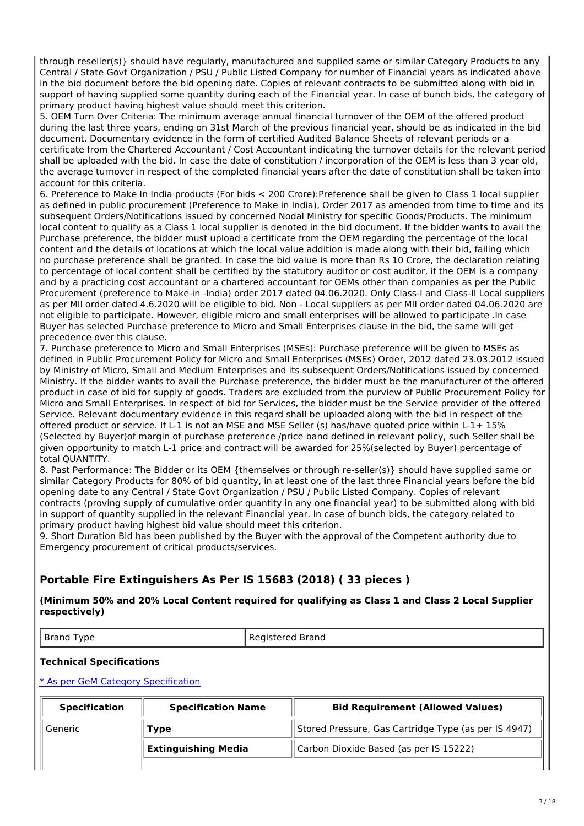through reseller(s)} should have regularly, manufactured and supplied same or similar Category Products to any Central / State Govt Organization / PSU / Public Listed Company for number of Financial years as indicated above in the bid document before the bid opening date. Copies of relevant contracts to be submitted along with bid in support of having supplied some quantity during each of the Financial year. In case of bunch bids, the category of primary product having highest value should meet this criterion.

5. OEM Turn Over Criteria: The minimum average annual financial turnover of the OEM of the offered product during the last three years, ending on 31st March of the previous financial year, should be as indicated in the bid document. Documentary evidence in the form of certified Audited Balance Sheets of relevant periods or a certificate from the Chartered Accountant / Cost Accountant indicating the turnover details for the relevant period shall be uploaded with the bid. In case the date of constitution / incorporation of the OEM is less than 3 year old, the average turnover in respect of the completed financial years after the date of constitution shall be taken into account for this criteria.

6. Preference to Make In India products (For bids < 200 Crore):Preference shall be given to Class 1 local supplier as defined in public procurement (Preference to Make in India), Order 2017 as amended from time to time and its subsequent Orders/Notifications issued by concerned Nodal Ministry for specific Goods/Products. The minimum local content to qualify as a Class 1 local supplier is denoted in the bid document. If the bidder wants to avail the Purchase preference, the bidder must upload a certificate from the OEM regarding the percentage of the local content and the details of locations at which the local value addition is made along with their bid, failing which no purchase preference shall be granted. In case the bid value is more than Rs 10 Crore, the declaration relating to percentage of local content shall be certified by the statutory auditor or cost auditor, if the OEM is a company and by a practicing cost accountant or a chartered accountant for OEMs other than companies as per the Public Procurement (preference to Make-in -India) order 2017 dated 04.06.2020. Only Class-I and Class-II Local suppliers as per MII order dated 4.6.2020 will be eligible to bid. Non - Local suppliers as per MII order dated 04.06.2020 are not eligible to participate. However, eligible micro and small enterprises will be allowed to participate .In case Buyer has selected Purchase preference to Micro and Small Enterprises clause in the bid, the same will get precedence over this clause.

7. Purchase preference to Micro and Small Enterprises (MSEs): Purchase preference will be given to MSEs as defined in Public Procurement Policy for Micro and Small Enterprises (MSEs) Order, 2012 dated 23.03.2012 issued by Ministry of Micro, Small and Medium Enterprises and its subsequent Orders/Notifications issued by concerned Ministry. If the bidder wants to avail the Purchase preference, the bidder must be the manufacturer of the offered product in case of bid for supply of goods. Traders are excluded from the purview of Public Procurement Policy for Micro and Small Enterprises. In respect of bid for Services, the bidder must be the Service provider of the offered Service. Relevant documentary evidence in this regard shall be uploaded along with the bid in respect of the offered product or service. If L-1 is not an MSE and MSE Seller (s) has/have quoted price within L-1+ 15% (Selected by Buyer)of margin of purchase preference /price band defined in relevant policy, such Seller shall be given opportunity to match L-1 price and contract will be awarded for 25%(selected by Buyer) percentage of total QUANTITY.

8. Past Performance: The Bidder or its OEM {themselves or through re-seller(s)} should have supplied same or similar Category Products for 80% of bid quantity, in at least one of the last three Financial years before the bid opening date to any Central / State Govt Organization / PSU / Public Listed Company. Copies of relevant contracts (proving supply of cumulative order quantity in any one financial year) to be submitted along with bid in support of quantity supplied in the relevant Financial year. In case of bunch bids, the category related to primary product having highest bid value should meet this criterion.

9. Short Duration Bid has been published by the Buyer with the approval of the Competent authority due to Emergency procurement of critical products/services.

# **Portable Fire Extinguishers As Per IS 15683 (2018) ( 33 pieces )**

**(Minimum 50% and 20% Local Content required for qualifying as Class 1 and Class 2 Local Supplier respectively)**

Brand Type Registered Brand

# **Technical Specifications**

| <b>Specification</b> | <b>Specification Name</b>  | <b>Bid Requirement (Allowed Values)</b>              |
|----------------------|----------------------------|------------------------------------------------------|
| Generic              | 'ype                       | Stored Pressure, Gas Cartridge Type (as per IS 4947) |
|                      | <b>Extinguishing Media</b> | Carbon Dioxide Based (as per IS 15222)               |
|                      |                            |                                                      |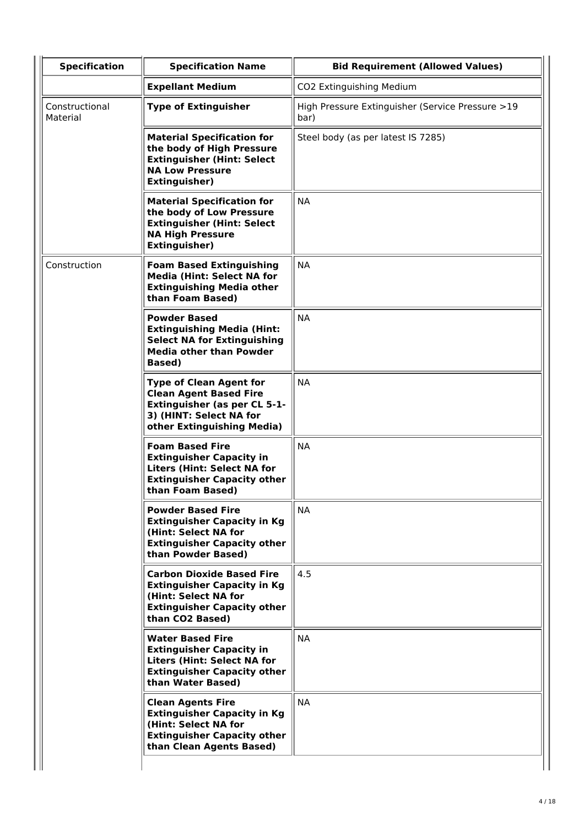| <b>Specification</b>       | <b>Specification Name</b>                                                                                                                                       | <b>Bid Requirement (Allowed Values)</b>                  |
|----------------------------|-----------------------------------------------------------------------------------------------------------------------------------------------------------------|----------------------------------------------------------|
|                            | <b>Expellant Medium</b>                                                                                                                                         | CO2 Extinguishing Medium                                 |
| Constructional<br>Material | <b>Type of Extinguisher</b>                                                                                                                                     | High Pressure Extinguisher (Service Pressure >19<br>bar) |
|                            | <b>Material Specification for</b><br>the body of High Pressure<br><b>Extinguisher (Hint: Select</b><br><b>NA Low Pressure</b><br><b>Extinguisher)</b>           | Steel body (as per latest IS 7285)                       |
|                            | <b>Material Specification for</b><br>the body of Low Pressure<br><b>Extinguisher (Hint: Select</b><br><b>NA High Pressure</b><br><b>Extinguisher)</b>           | <b>NA</b>                                                |
| Construction               | <b>Foam Based Extinguishing</b><br><b>Media (Hint: Select NA for</b><br><b>Extinguishing Media other</b><br>than Foam Based)                                    | <b>NA</b>                                                |
|                            | <b>Powder Based</b><br><b>Extinguishing Media (Hint:</b><br><b>Select NA for Extinguishing</b><br><b>Media other than Powder</b><br>Based)                      | <b>NA</b>                                                |
|                            | <b>Type of Clean Agent for</b><br><b>Clean Agent Based Fire</b><br><b>Extinguisher (as per CL 5-1-</b><br>3) (HINT: Select NA for<br>other Extinguishing Media) | <b>NA</b>                                                |
|                            | <b>Foam Based Fire</b><br><b>Extinguisher Capacity in</b><br><b>Liters (Hint: Select NA for</b><br><b>Extinguisher Capacity other</b><br>than Foam Based)       | <b>NA</b>                                                |
|                            | <b>Powder Based Fire</b><br><b>Extinguisher Capacity in Kg</b><br>(Hint: Select NA for<br><b>Extinguisher Capacity other</b><br>than Powder Based)              | <b>NA</b>                                                |
|                            | <b>Carbon Dioxide Based Fire</b><br><b>Extinguisher Capacity in Kg</b><br>(Hint: Select NA for<br><b>Extinguisher Capacity other</b><br>than CO2 Based)         | 4.5                                                      |
|                            | <b>Water Based Fire</b><br><b>Extinguisher Capacity in</b><br><b>Liters (Hint: Select NA for</b><br><b>Extinguisher Capacity other</b><br>than Water Based)     | <b>NA</b>                                                |
|                            | <b>Clean Agents Fire</b><br><b>Extinguisher Capacity in Kg</b><br>(Hint: Select NA for<br><b>Extinguisher Capacity other</b><br>than Clean Agents Based)        | <b>NA</b>                                                |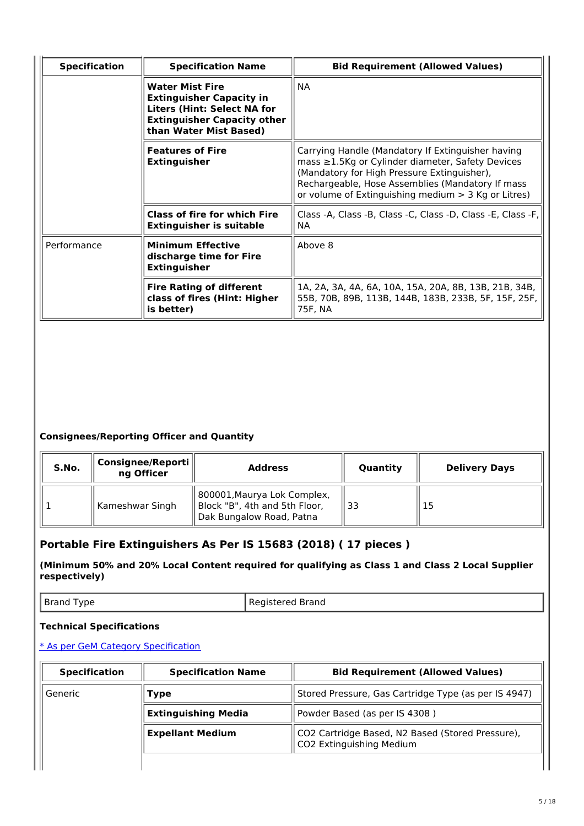| <b>Specification</b> | <b>Specification Name</b>                                                                                                                                       | <b>Bid Requirement (Allowed Values)</b>                                                                                                                                                                                                                                 |
|----------------------|-----------------------------------------------------------------------------------------------------------------------------------------------------------------|-------------------------------------------------------------------------------------------------------------------------------------------------------------------------------------------------------------------------------------------------------------------------|
|                      | <b>Water Mist Fire</b><br><b>Extinguisher Capacity in</b><br><b>Liters (Hint: Select NA for</b><br><b>Extinguisher Capacity other</b><br>than Water Mist Based) | <b>NA</b>                                                                                                                                                                                                                                                               |
|                      | <b>Features of Fire</b><br><b>Extinguisher</b>                                                                                                                  | Carrying Handle (Mandatory If Extinguisher having<br>mass $\geq$ 1.5Kg or Cylinder diameter, Safety Devices<br>(Mandatory for High Pressure Extinguisher),<br>Rechargeable, Hose Assemblies (Mandatory If mass<br>or volume of Extinguishing medium $>$ 3 Kg or Litres) |
|                      | <b>Class of fire for which Fire</b><br><b>Extinguisher is suitable</b>                                                                                          | Class -A, Class -B, Class -C, Class -D, Class -E, Class -F,<br>NA.                                                                                                                                                                                                      |
| Performance          | <b>Minimum Effective</b><br>discharge time for Fire<br><b>Extinguisher</b>                                                                                      | Above 8                                                                                                                                                                                                                                                                 |
|                      | <b>Fire Rating of different</b><br>class of fires (Hint: Higher<br>is better)                                                                                   | 1A, 2A, 3A, 4A, 6A, 10A, 15A, 20A, 8B, 13B, 21B, 34B,<br>55B, 70B, 89B, 113B, 144B, 183B, 233B, 5F, 15F, 25F,<br>75F, NA                                                                                                                                                |

| S.No. | Consignee/Reporti<br>ng Officer | <b>Address</b>                                                                           | Quantity | <b>Delivery Days</b> |
|-------|---------------------------------|------------------------------------------------------------------------------------------|----------|----------------------|
|       | Kameshwar Singh                 | 800001, Maurya Lok Complex,<br>Block "B", 4th and 5th Floor,<br>Dak Bungalow Road, Patna | 33       |                      |

# **Portable Fire Extinguishers As Per IS 15683 (2018) ( 17 pieces )**

**(Minimum 50% and 20% Local Content required for qualifying as Class 1 and Class 2 Local Supplier respectively)**

| Brand Type | Registered Brand |
|------------|------------------|
|------------|------------------|

# **Technical Specifications**

| <b>Specification</b> | <b>Specification Name</b>  | <b>Bid Requirement (Allowed Values)</b>                                      |  |
|----------------------|----------------------------|------------------------------------------------------------------------------|--|
| Generic<br>Type      |                            | Stored Pressure, Gas Cartridge Type (as per IS 4947)                         |  |
|                      | <b>Extinguishing Media</b> | Powder Based (as per IS 4308)                                                |  |
|                      | <b>Expellant Medium</b>    | CO2 Cartridge Based, N2 Based (Stored Pressure),<br>CO2 Extinguishing Medium |  |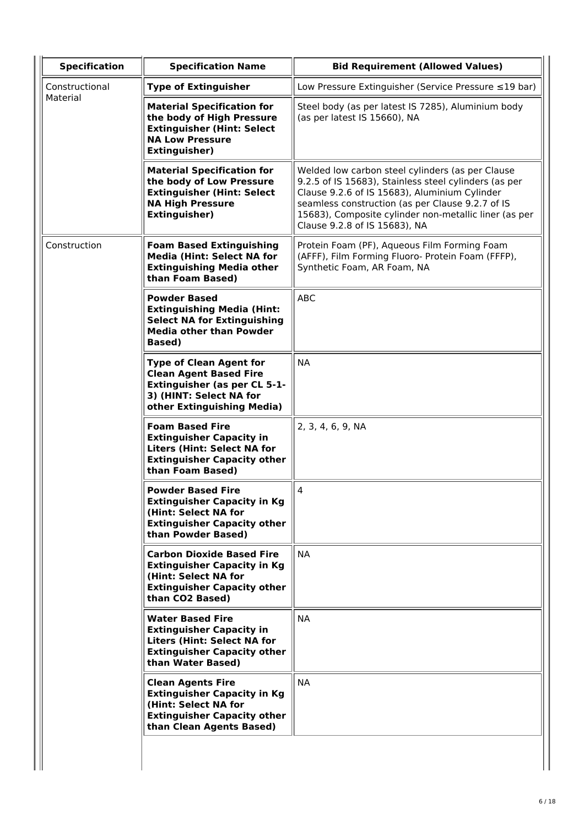| <b>Specification</b> | <b>Specification Name</b>                                                                                                                                       | <b>Bid Requirement (Allowed Values)</b>                                                                                                                                                                                                                                                                  |
|----------------------|-----------------------------------------------------------------------------------------------------------------------------------------------------------------|----------------------------------------------------------------------------------------------------------------------------------------------------------------------------------------------------------------------------------------------------------------------------------------------------------|
| Constructional       | <b>Type of Extinguisher</b>                                                                                                                                     | Low Pressure Extinguisher (Service Pressure ≤19 bar)                                                                                                                                                                                                                                                     |
| Material             | <b>Material Specification for</b><br>the body of High Pressure<br><b>Extinguisher (Hint: Select</b><br><b>NA Low Pressure</b><br><b>Extinguisher)</b>           | Steel body (as per latest IS 7285), Aluminium body<br>(as per latest IS 15660), NA                                                                                                                                                                                                                       |
|                      | <b>Material Specification for</b><br>the body of Low Pressure<br><b>Extinguisher (Hint: Select</b><br><b>NA High Pressure</b><br><b>Extinguisher)</b>           | Welded low carbon steel cylinders (as per Clause<br>9.2.5 of IS 15683), Stainless steel cylinders (as per<br>Clause 9.2.6 of IS 15683), Aluminium Cylinder<br>seamless construction (as per Clause 9.2.7 of IS<br>15683), Composite cylinder non-metallic liner (as per<br>Clause 9.2.8 of IS 15683), NA |
| Construction         | <b>Foam Based Extinguishing</b><br><b>Media (Hint: Select NA for</b><br><b>Extinguishing Media other</b><br>than Foam Based)                                    | Protein Foam (PF), Aqueous Film Forming Foam<br>(AFFF), Film Forming Fluoro- Protein Foam (FFFP),<br>Synthetic Foam, AR Foam, NA                                                                                                                                                                         |
|                      | <b>Powder Based</b><br><b>Extinguishing Media (Hint:</b><br><b>Select NA for Extinguishing</b><br><b>Media other than Powder</b><br><b>Based</b> )              | <b>ABC</b>                                                                                                                                                                                                                                                                                               |
|                      | <b>Type of Clean Agent for</b><br><b>Clean Agent Based Fire</b><br><b>Extinguisher (as per CL 5-1-</b><br>3) (HINT: Select NA for<br>other Extinguishing Media) | <b>NA</b>                                                                                                                                                                                                                                                                                                |
|                      | <b>Foam Based Fire</b><br><b>Extinguisher Capacity in</b><br><b>Liters (Hint: Select NA for</b><br><b>Extinguisher Capacity other</b><br>than Foam Based)       | 2, 3, 4, 6, 9, NA                                                                                                                                                                                                                                                                                        |
|                      | <b>Powder Based Fire</b><br><b>Extinguisher Capacity in Kg</b><br>(Hint: Select NA for<br><b>Extinguisher Capacity other</b><br>than Powder Based)              | $\overline{\mathbf{4}}$                                                                                                                                                                                                                                                                                  |
|                      | <b>Carbon Dioxide Based Fire</b><br><b>Extinguisher Capacity in Kg</b><br>(Hint: Select NA for<br><b>Extinguisher Capacity other</b><br>than CO2 Based)         | <b>NA</b>                                                                                                                                                                                                                                                                                                |
|                      | <b>Water Based Fire</b><br><b>Extinguisher Capacity in</b><br><b>Liters (Hint: Select NA for</b><br><b>Extinguisher Capacity other</b><br>than Water Based)     | <b>NA</b>                                                                                                                                                                                                                                                                                                |
|                      | <b>Clean Agents Fire</b><br><b>Extinguisher Capacity in Kg</b><br>(Hint: Select NA for<br><b>Extinguisher Capacity other</b><br>than Clean Agents Based)        | <b>NA</b>                                                                                                                                                                                                                                                                                                |
|                      |                                                                                                                                                                 |                                                                                                                                                                                                                                                                                                          |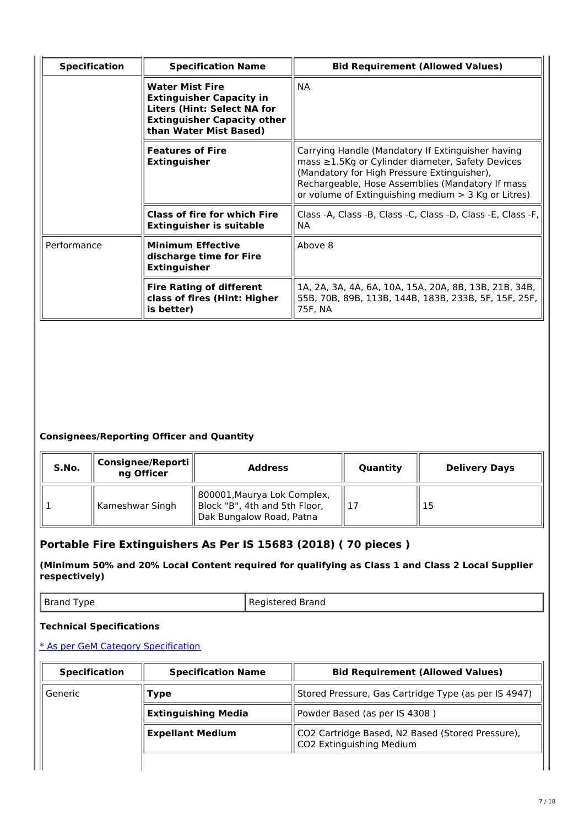| <b>Specification</b> | <b>Specification Name</b>                                                                                                                                       | <b>Bid Requirement (Allowed Values)</b>                                                                                                                                                                                                                           |
|----------------------|-----------------------------------------------------------------------------------------------------------------------------------------------------------------|-------------------------------------------------------------------------------------------------------------------------------------------------------------------------------------------------------------------------------------------------------------------|
|                      | <b>Water Mist Fire</b><br><b>Extinguisher Capacity in</b><br><b>Liters (Hint: Select NA for</b><br><b>Extinguisher Capacity other</b><br>than Water Mist Based) | <b>NA</b>                                                                                                                                                                                                                                                         |
|                      | <b>Features of Fire</b><br><b>Extinguisher</b>                                                                                                                  | Carrying Handle (Mandatory If Extinguisher having<br>mass ≥1.5Kg or Cylinder diameter, Safety Devices<br>(Mandatory for High Pressure Extinguisher),<br>Rechargeable, Hose Assemblies (Mandatory If mass<br>or volume of Extinguishing medium $>$ 3 Kg or Litres) |
|                      | <b>Class of fire for which Fire</b><br><b>Extinguisher is suitable</b>                                                                                          | Class -A, Class -B, Class -C, Class -D, Class -E, Class -F,<br>NA.                                                                                                                                                                                                |
| Performance          | <b>Minimum Effective</b><br>discharge time for Fire<br><b>Extinguisher</b>                                                                                      | Above 8                                                                                                                                                                                                                                                           |
|                      | <b>Fire Rating of different</b><br>class of fires (Hint: Higher<br>is better)                                                                                   | 1A, 2A, 3A, 4A, 6A, 10A, 15A, 20A, 8B, 13B, 21B, 34B,<br>55B, 70B, 89B, 113B, 144B, 183B, 233B, 5F, 15F, 25F,<br>75F, NA                                                                                                                                          |

| S.No. | Consignee/Reporti<br>ng Officer | <b>Address</b>                                                                           | Quantity | <b>Delivery Days</b> |
|-------|---------------------------------|------------------------------------------------------------------------------------------|----------|----------------------|
|       | Kameshwar Singh                 | 800001, Maurya Lok Complex,<br>Block "B", 4th and 5th Floor,<br>Dak Bungalow Road, Patna |          | $\overline{15}$      |

# **Portable Fire Extinguishers As Per IS 15683 (2018) ( 70 pieces )**

**(Minimum 50% and 20% Local Content required for qualifying as Class 1 and Class 2 Local Supplier respectively)**

| Brand Type | Registered Brand |
|------------|------------------|
|------------|------------------|

# **Technical Specifications**

| <b>Specification</b> | <b>Specification Name</b>  | <b>Bid Requirement (Allowed Values)</b>                                      |  |
|----------------------|----------------------------|------------------------------------------------------------------------------|--|
| Generic<br>Type      |                            | Stored Pressure, Gas Cartridge Type (as per IS 4947)                         |  |
|                      | <b>Extinguishing Media</b> | Powder Based (as per IS 4308)                                                |  |
|                      | <b>Expellant Medium</b>    | CO2 Cartridge Based, N2 Based (Stored Pressure),<br>CO2 Extinguishing Medium |  |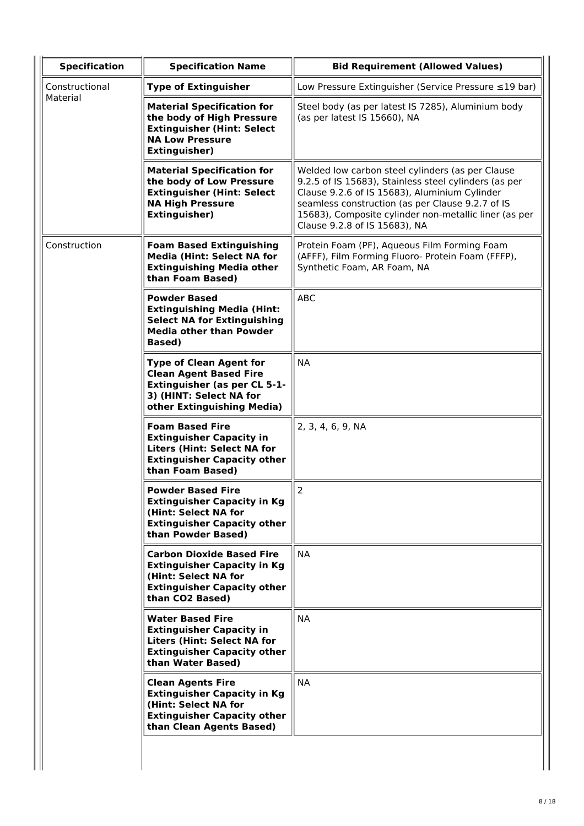| <b>Specification</b> | <b>Specification Name</b>                                                                                                                                       | <b>Bid Requirement (Allowed Values)</b>                                                                                                                                                                                                                                                                  |
|----------------------|-----------------------------------------------------------------------------------------------------------------------------------------------------------------|----------------------------------------------------------------------------------------------------------------------------------------------------------------------------------------------------------------------------------------------------------------------------------------------------------|
| Constructional       | <b>Type of Extinguisher</b>                                                                                                                                     | Low Pressure Extinguisher (Service Pressure ≤19 bar)                                                                                                                                                                                                                                                     |
| Material             | <b>Material Specification for</b><br>the body of High Pressure<br><b>Extinguisher (Hint: Select</b><br><b>NA Low Pressure</b><br><b>Extinguisher)</b>           | Steel body (as per latest IS 7285), Aluminium body<br>(as per latest IS 15660), NA                                                                                                                                                                                                                       |
|                      | <b>Material Specification for</b><br>the body of Low Pressure<br><b>Extinguisher (Hint: Select</b><br><b>NA High Pressure</b><br><b>Extinguisher)</b>           | Welded low carbon steel cylinders (as per Clause<br>9.2.5 of IS 15683), Stainless steel cylinders (as per<br>Clause 9.2.6 of IS 15683), Aluminium Cylinder<br>seamless construction (as per Clause 9.2.7 of IS<br>15683), Composite cylinder non-metallic liner (as per<br>Clause 9.2.8 of IS 15683), NA |
| Construction         | <b>Foam Based Extinguishing</b><br><b>Media (Hint: Select NA for</b><br><b>Extinguishing Media other</b><br>than Foam Based)                                    | Protein Foam (PF), Aqueous Film Forming Foam<br>(AFFF), Film Forming Fluoro- Protein Foam (FFFP),<br>Synthetic Foam, AR Foam, NA                                                                                                                                                                         |
|                      | <b>Powder Based</b><br><b>Extinguishing Media (Hint:</b><br><b>Select NA for Extinguishing</b><br><b>Media other than Powder</b><br><b>Based</b> )              | <b>ABC</b>                                                                                                                                                                                                                                                                                               |
|                      | <b>Type of Clean Agent for</b><br><b>Clean Agent Based Fire</b><br><b>Extinguisher (as per CL 5-1-</b><br>3) (HINT: Select NA for<br>other Extinguishing Media) | <b>NA</b>                                                                                                                                                                                                                                                                                                |
|                      | <b>Foam Based Fire</b><br><b>Extinguisher Capacity in</b><br><b>Liters (Hint: Select NA for</b><br><b>Extinguisher Capacity other</b><br>than Foam Based)       | 2, 3, 4, 6, 9, NA                                                                                                                                                                                                                                                                                        |
|                      | <b>Powder Based Fire</b><br><b>Extinguisher Capacity in Kg</b><br>(Hint: Select NA for<br><b>Extinguisher Capacity other</b><br>than Powder Based)              | $\overline{2}$                                                                                                                                                                                                                                                                                           |
|                      | <b>Carbon Dioxide Based Fire</b><br><b>Extinguisher Capacity in Kg</b><br>(Hint: Select NA for<br><b>Extinguisher Capacity other</b><br>than CO2 Based)         | <b>NA</b>                                                                                                                                                                                                                                                                                                |
|                      | <b>Water Based Fire</b><br><b>Extinguisher Capacity in</b><br><b>Liters (Hint: Select NA for</b><br><b>Extinguisher Capacity other</b><br>than Water Based)     | <b>NA</b>                                                                                                                                                                                                                                                                                                |
|                      | <b>Clean Agents Fire</b><br><b>Extinguisher Capacity in Kg</b><br>(Hint: Select NA for<br><b>Extinguisher Capacity other</b><br>than Clean Agents Based)        | <b>NA</b>                                                                                                                                                                                                                                                                                                |
|                      |                                                                                                                                                                 |                                                                                                                                                                                                                                                                                                          |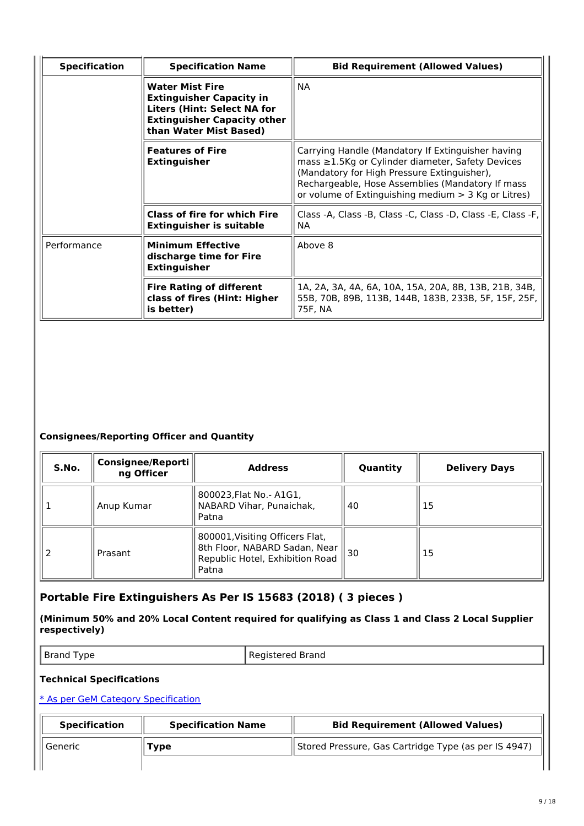| <b>Specification</b> | <b>Specification Name</b>                                                                                                                                       | <b>Bid Requirement (Allowed Values)</b>                                                                                                                                                                                                                                 |
|----------------------|-----------------------------------------------------------------------------------------------------------------------------------------------------------------|-------------------------------------------------------------------------------------------------------------------------------------------------------------------------------------------------------------------------------------------------------------------------|
|                      | <b>Water Mist Fire</b><br><b>Extinguisher Capacity in</b><br><b>Liters (Hint: Select NA for</b><br><b>Extinguisher Capacity other</b><br>than Water Mist Based) | <b>NA</b>                                                                                                                                                                                                                                                               |
|                      | <b>Features of Fire</b><br><b>Extinguisher</b>                                                                                                                  | Carrying Handle (Mandatory If Extinguisher having<br>mass $\geq$ 1.5Kg or Cylinder diameter, Safety Devices<br>(Mandatory for High Pressure Extinguisher),<br>Rechargeable, Hose Assemblies (Mandatory If mass<br>or volume of Extinguishing medium $>$ 3 Kg or Litres) |
|                      | <b>Class of fire for which Fire</b><br><b>Extinguisher is suitable</b>                                                                                          | Class -A, Class -B, Class -C, Class -D, Class -E, Class -F,<br>NA.                                                                                                                                                                                                      |
| Performance          | <b>Minimum Effective</b><br>discharge time for Fire<br><b>Extinguisher</b>                                                                                      | Above 8                                                                                                                                                                                                                                                                 |
|                      | <b>Fire Rating of different</b><br>class of fires (Hint: Higher<br>is better)                                                                                   | 1A, 2A, 3A, 4A, 6A, 10A, 15A, 20A, 8B, 13B, 21B, 34B,<br>55B, 70B, 89B, 113B, 144B, 183B, 233B, 5F, 15F, 25F,<br>75F, NA                                                                                                                                                |

| S.No. | <b>Consignee/Reporti</b><br>ng Officer | <b>Address</b>                                                                                               | Quantity | <b>Delivery Days</b> |
|-------|----------------------------------------|--------------------------------------------------------------------------------------------------------------|----------|----------------------|
|       | Anup Kumar                             | 800023, Flat No. - A1G1,<br>NABARD Vihar, Punaichak,<br>Patna                                                | 40       | 15                   |
|       | Prasant                                | 800001, Visiting Officers Flat,<br>8th Floor, NABARD Sadan, Near<br>Republic Hotel, Exhibition Road<br>Patna | 30       | 15                   |

# **Portable Fire Extinguishers As Per IS 15683 (2018) ( 3 pieces )**

# **(Minimum 50% and 20% Local Content required for qualifying as Class 1 and Class 2 Local Supplier respectively)**

Brand Type **Registered Brand** 

# **Technical Specifications**

| <b>Specification</b> | <b>Specification Name</b> | <b>Bid Requirement (Allowed Values)</b>              |  |
|----------------------|---------------------------|------------------------------------------------------|--|
| Generic              | Type                      | Stored Pressure, Gas Cartridge Type (as per IS 4947) |  |
|                      |                           |                                                      |  |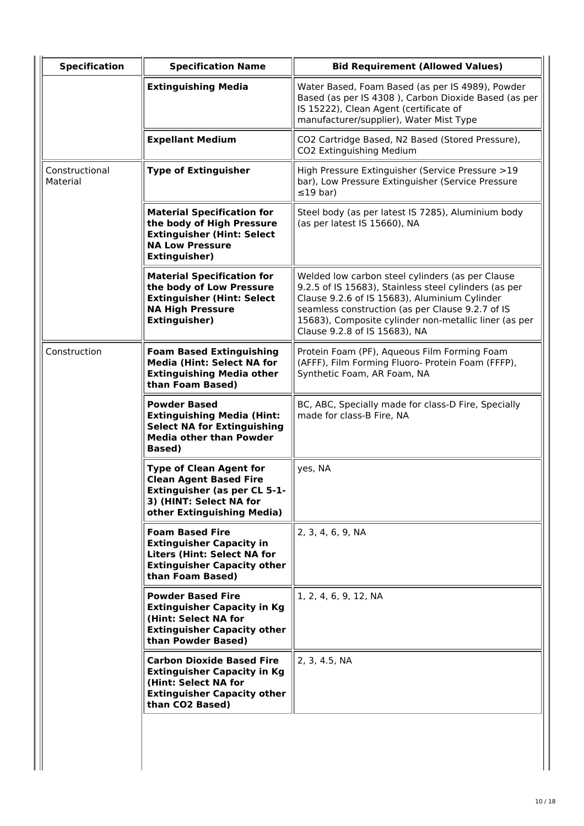| <b>Specification</b>       | <b>Specification Name</b>                                                                                                                                       | <b>Bid Requirement (Allowed Values)</b>                                                                                                                                                                                                                                                                  |  |  |
|----------------------------|-----------------------------------------------------------------------------------------------------------------------------------------------------------------|----------------------------------------------------------------------------------------------------------------------------------------------------------------------------------------------------------------------------------------------------------------------------------------------------------|--|--|
|                            | <b>Extinguishing Media</b>                                                                                                                                      | Water Based, Foam Based (as per IS 4989), Powder<br>Based (as per IS 4308), Carbon Dioxide Based (as per<br>IS 15222), Clean Agent (certificate of<br>manufacturer/supplier), Water Mist Type                                                                                                            |  |  |
|                            | <b>Expellant Medium</b>                                                                                                                                         | CO2 Cartridge Based, N2 Based (Stored Pressure),<br>CO2 Extinguishing Medium                                                                                                                                                                                                                             |  |  |
| Constructional<br>Material | <b>Type of Extinguisher</b>                                                                                                                                     | High Pressure Extinguisher (Service Pressure >19<br>bar), Low Pressure Extinguisher (Service Pressure<br>$\leq$ 19 bar)                                                                                                                                                                                  |  |  |
|                            | <b>Material Specification for</b><br>the body of High Pressure<br><b>Extinguisher (Hint: Select</b><br><b>NA Low Pressure</b><br><b>Extinguisher)</b>           | Steel body (as per latest IS 7285), Aluminium body<br>(as per latest IS 15660), NA                                                                                                                                                                                                                       |  |  |
|                            | <b>Material Specification for</b><br>the body of Low Pressure<br><b>Extinguisher (Hint: Select</b><br><b>NA High Pressure</b><br><b>Extinguisher)</b>           | Welded low carbon steel cylinders (as per Clause<br>9.2.5 of IS 15683), Stainless steel cylinders (as per<br>Clause 9.2.6 of IS 15683), Aluminium Cylinder<br>seamless construction (as per Clause 9.2.7 of IS<br>15683), Composite cylinder non-metallic liner (as per<br>Clause 9.2.8 of IS 15683), NA |  |  |
| Construction               | <b>Foam Based Extinguishing</b><br><b>Media (Hint: Select NA for</b><br><b>Extinguishing Media other</b><br>than Foam Based)                                    | Protein Foam (PF), Aqueous Film Forming Foam<br>(AFFF), Film Forming Fluoro- Protein Foam (FFFP),<br>Synthetic Foam, AR Foam, NA                                                                                                                                                                         |  |  |
|                            | <b>Powder Based</b><br><b>Extinguishing Media (Hint:</b><br><b>Select NA for Extinguishing</b><br><b>Media other than Powder</b><br><b>Based</b> )              | BC, ABC, Specially made for class-D Fire, Specially<br>made for class-B Fire, NA                                                                                                                                                                                                                         |  |  |
|                            | <b>Type of Clean Agent for</b><br><b>Clean Agent Based Fire</b><br><b>Extinguisher (as per CL 5-1-</b><br>3) (HINT: Select NA for<br>other Extinguishing Media) | yes, NA                                                                                                                                                                                                                                                                                                  |  |  |
|                            | <b>Foam Based Fire</b><br><b>Extinguisher Capacity in</b><br><b>Liters (Hint: Select NA for</b><br><b>Extinguisher Capacity other</b><br>than Foam Based)       | 2, 3, 4, 6, 9, NA                                                                                                                                                                                                                                                                                        |  |  |
|                            | <b>Powder Based Fire</b><br><b>Extinguisher Capacity in Kg</b><br>(Hint: Select NA for<br><b>Extinguisher Capacity other</b><br>than Powder Based)              | 1, 2, 4, 6, 9, 12, NA                                                                                                                                                                                                                                                                                    |  |  |
|                            | <b>Carbon Dioxide Based Fire</b><br><b>Extinguisher Capacity in Kg</b><br>(Hint: Select NA for<br><b>Extinguisher Capacity other</b><br>than CO2 Based)         | 2, 3, 4.5, NA                                                                                                                                                                                                                                                                                            |  |  |
|                            |                                                                                                                                                                 |                                                                                                                                                                                                                                                                                                          |  |  |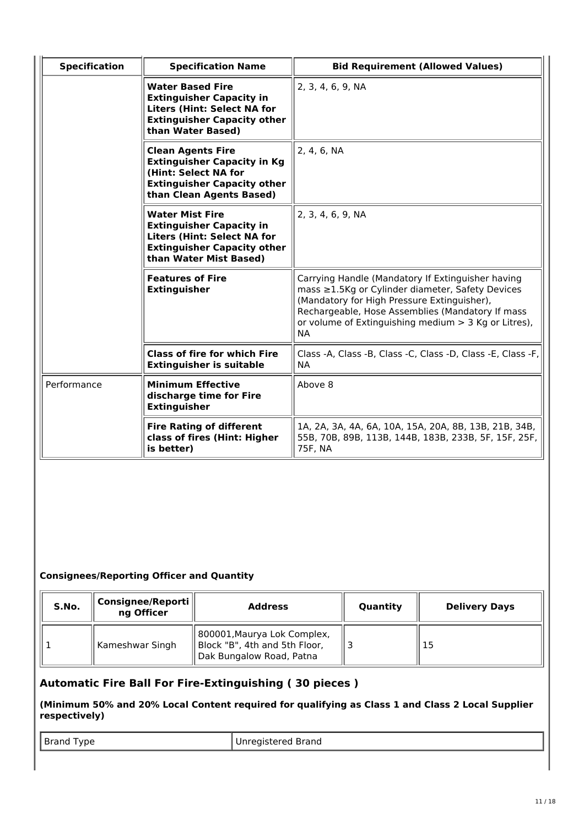| <b>Specification</b> | <b>Specification Name</b>                                                                                                                                       | <b>Bid Requirement (Allowed Values)</b>                                                                                                                                                                                                                                         |
|----------------------|-----------------------------------------------------------------------------------------------------------------------------------------------------------------|---------------------------------------------------------------------------------------------------------------------------------------------------------------------------------------------------------------------------------------------------------------------------------|
|                      | <b>Water Based Fire</b><br><b>Extinguisher Capacity in</b><br><b>Liters (Hint: Select NA for</b><br><b>Extinguisher Capacity other</b><br>than Water Based)     | 2, 3, 4, 6, 9, NA                                                                                                                                                                                                                                                               |
|                      | <b>Clean Agents Fire</b><br><b>Extinguisher Capacity in Kg</b><br>(Hint: Select NA for<br><b>Extinguisher Capacity other</b><br>than Clean Agents Based)        | 2, 4, 6, NA                                                                                                                                                                                                                                                                     |
|                      | <b>Water Mist Fire</b><br><b>Extinguisher Capacity in</b><br><b>Liters (Hint: Select NA for</b><br><b>Extinguisher Capacity other</b><br>than Water Mist Based) | 2, 3, 4, 6, 9, NA                                                                                                                                                                                                                                                               |
|                      | <b>Features of Fire</b><br><b>Extinguisher</b>                                                                                                                  | Carrying Handle (Mandatory If Extinguisher having<br>mass ≥1.5Kg or Cylinder diameter, Safety Devices<br>(Mandatory for High Pressure Extinguisher),<br>Rechargeable, Hose Assemblies (Mandatory If mass<br>or volume of Extinguishing medium $>$ 3 Kg or Litres),<br><b>NA</b> |
|                      | <b>Class of fire for which Fire</b><br><b>Extinguisher is suitable</b>                                                                                          | Class -A, Class -B, Class -C, Class -D, Class -E, Class -F,<br><b>NA</b>                                                                                                                                                                                                        |
| Performance          | <b>Minimum Effective</b><br>discharge time for Fire<br><b>Extinguisher</b>                                                                                      | Above 8                                                                                                                                                                                                                                                                         |
|                      | <b>Fire Rating of different</b><br>class of fires (Hint: Higher<br>is better)                                                                                   | 1A, 2A, 3A, 4A, 6A, 10A, 15A, 20A, 8B, 13B, 21B, 34B,<br>55B, 70B, 89B, 113B, 144B, 183B, 233B, 5F, 15F, 25F,<br>75F, NA                                                                                                                                                        |

| S.No. | Consignee/Reporti<br>ng Officer | <b>Address</b>                                                                           | Quantity | <b>Delivery Days</b> |
|-------|---------------------------------|------------------------------------------------------------------------------------------|----------|----------------------|
|       | Kameshwar Singh                 | 800001, Maurya Lok Complex,<br>Block "B", 4th and 5th Floor,<br>Dak Bungalow Road, Patna |          | 15                   |

# **Automatic Fire Ball For Fire-Extinguishing ( 30 pieces )**

# **(Minimum 50% and 20% Local Content required for qualifying as Class 1 and Class 2 Local Supplier respectively)**

| рe<br>$- \cdot - \cdot -$<br>$\sim$ $\sim$ | tered Brand |
|--------------------------------------------|-------------|
|--------------------------------------------|-------------|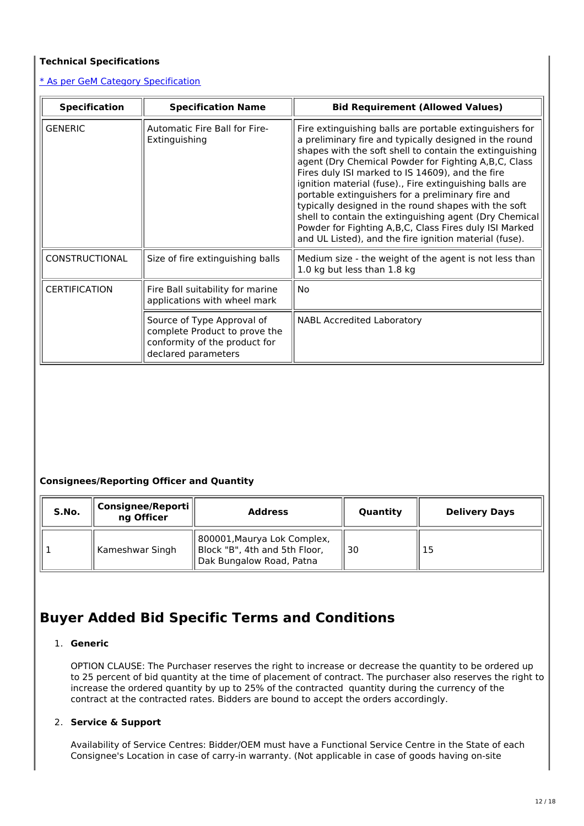# **Technical Specifications**

# \* As per GeM Category Specification

| <b>Specification</b>  | <b>Specification Name</b>                                                                                           | <b>Bid Requirement (Allowed Values)</b>                                                                                                                                                                                                                                                                                                                                                                                                                                                                                                                                                                                                          |
|-----------------------|---------------------------------------------------------------------------------------------------------------------|--------------------------------------------------------------------------------------------------------------------------------------------------------------------------------------------------------------------------------------------------------------------------------------------------------------------------------------------------------------------------------------------------------------------------------------------------------------------------------------------------------------------------------------------------------------------------------------------------------------------------------------------------|
| <b>GENERIC</b>        | <b>Automatic Fire Ball for Fire-</b><br>Extinguishing                                                               | Fire extinguishing balls are portable extinguishers for<br>a preliminary fire and typically designed in the round<br>shapes with the soft shell to contain the extinguishing<br>agent (Dry Chemical Powder for Fighting A, B, C, Class<br>Fires duly ISI marked to IS 14609), and the fire<br>ignition material (fuse)., Fire extinguishing balls are<br>portable extinguishers for a preliminary fire and<br>typically designed in the round shapes with the soft<br>shell to contain the extinguishing agent (Dry Chemical<br>Powder for Fighting A,B,C, Class Fires duly ISI Marked<br>and UL Listed), and the fire ignition material (fuse). |
| <b>CONSTRUCTIONAL</b> | Size of fire extinguishing balls                                                                                    | Medium size - the weight of the agent is not less than<br>1.0 kg but less than 1.8 kg                                                                                                                                                                                                                                                                                                                                                                                                                                                                                                                                                            |
| <b>CERTIFICATION</b>  | Fire Ball suitability for marine<br>applications with wheel mark                                                    | No.                                                                                                                                                                                                                                                                                                                                                                                                                                                                                                                                                                                                                                              |
|                       | Source of Type Approval of<br>complete Product to prove the<br>conformity of the product for<br>declared parameters | <b>NABL Accredited Laboratory</b>                                                                                                                                                                                                                                                                                                                                                                                                                                                                                                                                                                                                                |

# **Consignees/Reporting Officer and Quantity**

| S.No. | <b>Consignee/Reporti</b> l<br>ng Officer | <b>Address</b>                                                                           | Quantity | <b>Delivery Days</b> |
|-------|------------------------------------------|------------------------------------------------------------------------------------------|----------|----------------------|
|       | Kameshwar Singh                          | 800001, Maurya Lok Complex,<br>Block "B", 4th and 5th Floor,<br>Dak Bungalow Road, Patna | 30       | 15                   |

# **Buyer Added Bid Specific Terms and Conditions**

# 1. **Generic**

OPTION CLAUSE: The Purchaser reserves the right to increase or decrease the quantity to be ordered up to 25 percent of bid quantity at the time of placement of contract. The purchaser also reserves the right to increase the ordered quantity by up to 25% of the contracted quantity during the currency of the contract at the contracted rates. Bidders are bound to accept the orders accordingly.

# 2. **Service & Support**

Availability of Service Centres: Bidder/OEM must have a Functional Service Centre in the State of each Consignee's Location in case of carry-in warranty. (Not applicable in case of goods having on-site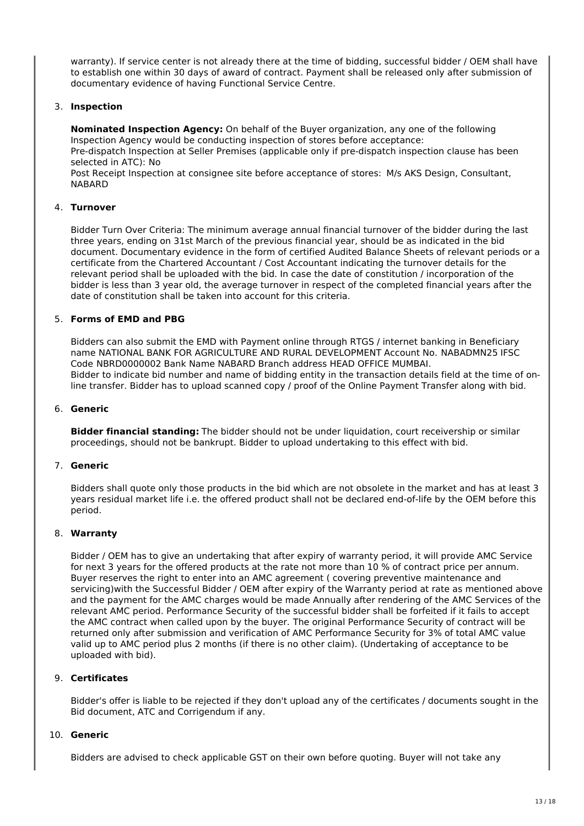warranty). If service center is not already there at the time of bidding, successful bidder / OEM shall have to establish one within 30 days of award of contract. Payment shall be released only after submission of documentary evidence of having Functional Service Centre.

# 3. **Inspection**

**Nominated Inspection Agency:** On behalf of the Buyer organization, any one of the following Inspection Agency would be conducting inspection of stores before acceptance: Pre-dispatch Inspection at Seller Premises (applicable only if pre-dispatch inspection clause has been selected in ATC): No

Post Receipt Inspection at consignee site before acceptance of stores: M/s AKS Design, Consultant, NABARD

#### 4. **Turnover**

Bidder Turn Over Criteria: The minimum average annual financial turnover of the bidder during the last three years, ending on 31st March of the previous financial year, should be as indicated in the bid document. Documentary evidence in the form of certified Audited Balance Sheets of relevant periods or a certificate from the Chartered Accountant / Cost Accountant indicating the turnover details for the relevant period shall be uploaded with the bid. In case the date of constitution / incorporation of the bidder is less than 3 year old, the average turnover in respect of the completed financial years after the date of constitution shall be taken into account for this criteria.

# 5. **Forms of EMD and PBG**

Bidders can also submit the EMD with Payment online through RTGS / internet banking in Beneficiary name NATIONAL BANK FOR AGRICULTURE AND RURAL DEVELOPMENT Account No. NABADMN25 IFSC Code NBRD0000002 Bank Name NABARD Branch address HEAD OFFICE MUMBAI. Bidder to indicate bid number and name of bidding entity in the transaction details field at the time of online transfer. Bidder has to upload scanned copy / proof of the Online Payment Transfer along with bid.

#### 6. **Generic**

**Bidder financial standing:** The bidder should not be under liquidation, court receivership or similar proceedings, should not be bankrupt. Bidder to upload undertaking to this effect with bid.

#### 7. **Generic**

Bidders shall quote only those products in the bid which are not obsolete in the market and has at least 3 years residual market life i.e. the offered product shall not be declared end-of-life by the OEM before this period.

#### 8. **Warranty**

Bidder / OEM has to give an undertaking that after expiry of warranty period, it will provide AMC Service for next 3 years for the offered products at the rate not more than 10 % of contract price per annum. Buyer reserves the right to enter into an AMC agreement ( covering preventive maintenance and servicing)with the Successful Bidder / OEM after expiry of the Warranty period at rate as mentioned above and the payment for the AMC charges would be made Annually after rendering of the AMC Services of the relevant AMC period. Performance Security of the successful bidder shall be forfeited if it fails to accept the AMC contract when called upon by the buyer. The original Performance Security of contract will be returned only after submission and verification of AMC Performance Security for 3% of total AMC value valid up to AMC period plus 2 months (if there is no other claim). (Undertaking of acceptance to be uploaded with bid).

#### 9. **Certificates**

Bidder's offer is liable to be rejected if they don't upload any of the certificates / documents sought in the Bid document, ATC and Corrigendum if any.

## 10. **Generic**

Bidders are advised to check applicable GST on their own before quoting. Buyer will not take any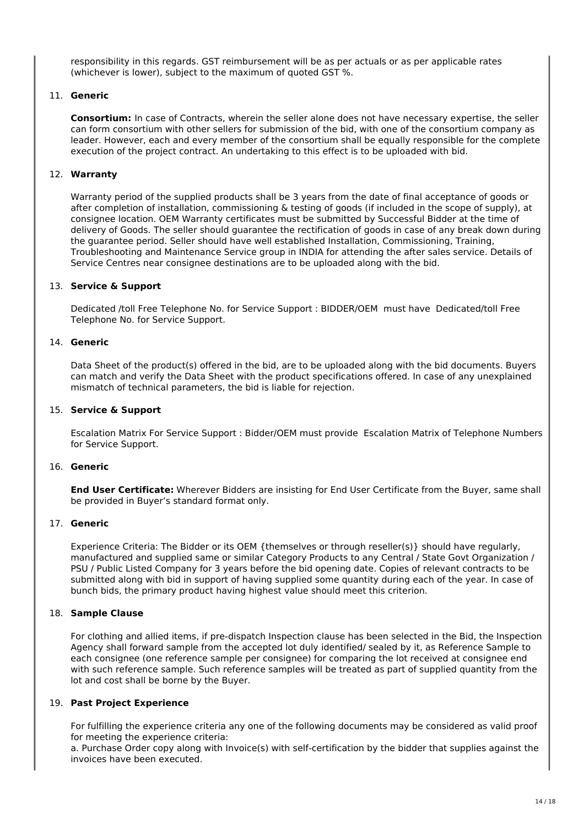responsibility in this regards. GST reimbursement will be as per actuals or as per applicable rates (whichever is lower), subject to the maximum of quoted GST %.

# 11. **Generic**

**Consortium:** In case of Contracts, wherein the seller alone does not have necessary expertise, the seller can form consortium with other sellers for submission of the bid, with one of the consortium company as leader. However, each and every member of the consortium shall be equally responsible for the complete execution of the project contract. An undertaking to this effect is to be uploaded with bid.

## 12. **Warranty**

Warranty period of the supplied products shall be 3 years from the date of final acceptance of goods or after completion of installation, commissioning & testing of goods (if included in the scope of supply), at consignee location. OEM Warranty certificates must be submitted by Successful Bidder at the time of delivery of Goods. The seller should guarantee the rectification of goods in case of any break down during the guarantee period. Seller should have well established Installation, Commissioning, Training, Troubleshooting and Maintenance Service group in INDIA for attending the after sales service. Details of Service Centres near consignee destinations are to be uploaded along with the bid.

#### 13. **Service & Support**

Dedicated /toll Free Telephone No. for Service Support : BIDDER/OEM must have Dedicated/toll Free Telephone No. for Service Support.

#### 14. **Generic**

Data Sheet of the product(s) offered in the bid, are to be uploaded along with the bid documents. Buyers can match and verify the Data Sheet with the product specifications offered. In case of any unexplained mismatch of technical parameters, the bid is liable for rejection.

#### 15. **Service & Support**

Escalation Matrix For Service Support : Bidder/OEM must provide Escalation Matrix of Telephone Numbers for Service Support.

# 16. **Generic**

**End User Certificate:** Wherever Bidders are insisting for End User Certificate from the Buyer, same shall be provided in Buyer's standard format only.

#### 17. **Generic**

Experience Criteria: The Bidder or its OEM {themselves or through reseller(s)} should have regularly, manufactured and supplied same or similar Category Products to any Central / State Govt Organization / PSU / Public Listed Company for 3 years before the bid opening date. Copies of relevant contracts to be submitted along with bid in support of having supplied some quantity during each of the year. In case of bunch bids, the primary product having highest value should meet this criterion.

#### 18. **Sample Clause**

For clothing and allied items, if pre-dispatch Inspection clause has been selected in the Bid, the Inspection Agency shall forward sample from the accepted lot duly identified/ sealed by it, as Reference Sample to each consignee (one reference sample per consignee) for comparing the lot received at consignee end with such reference sample. Such reference samples will be treated as part of supplied quantity from the lot and cost shall be borne by the Buyer.

#### 19. **Past Project Experience**

For fulfilling the experience criteria any one of the following documents may be considered as valid proof for meeting the experience criteria:

a. Purchase Order copy along with Invoice(s) with self-certification by the bidder that supplies against the invoices have been executed.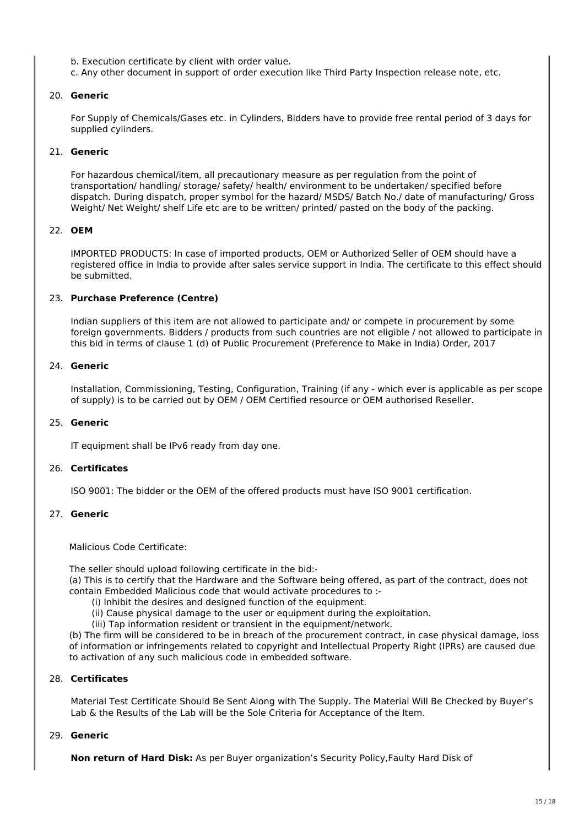- b. Execution certificate by client with order value.
- c. Any other document in support of order execution like Third Party Inspection release note, etc.

#### 20. **Generic**

For Supply of Chemicals/Gases etc. in Cylinders, Bidders have to provide free rental period of 3 days for supplied cylinders.

#### 21. **Generic**

For hazardous chemical/item, all precautionary measure as per regulation from the point of transportation/ handling/ storage/ safety/ health/ environment to be undertaken/ specified before dispatch. During dispatch, proper symbol for the hazard/ MSDS/ Batch No./ date of manufacturing/ Gross Weight/ Net Weight/ shelf Life etc are to be written/ printed/ pasted on the body of the packing.

# 22. **OEM**

IMPORTED PRODUCTS: In case of imported products, OEM or Authorized Seller of OEM should have a registered office in India to provide after sales service support in India. The certificate to this effect should be submitted.

# 23. **Purchase Preference (Centre)**

Indian suppliers of this item are not allowed to participate and/ or compete in procurement by some foreign governments. Bidders / products from such countries are not eligible / not allowed to participate in this bid in terms of clause 1 (d) of Public Procurement (Preference to Make in India) Order, 2017

#### 24. **Generic**

Installation, Commissioning, Testing, Configuration, Training (if any - which ever is applicable as per scope of supply) is to be carried out by OEM / OEM Certified resource or OEM authorised Reseller.

#### 25. **Generic**

IT equipment shall be IPv6 ready from day one.

#### 26. **Certificates**

ISO 9001: The bidder or the OEM of the offered products must have ISO 9001 certification.

## 27. **Generic**

Malicious Code Certificate:

The seller should upload following certificate in the bid:-

(a) This is to certify that the Hardware and the Software being offered, as part of the contract, does not contain Embedded Malicious code that would activate procedures to :-

- (i) Inhibit the desires and designed function of the equipment.
- (ii) Cause physical damage to the user or equipment during the exploitation.
- (iii) Tap information resident or transient in the equipment/network.

(b) The firm will be considered to be in breach of the procurement contract, in case physical damage, loss of information or infringements related to copyright and Intellectual Property Right (IPRs) are caused due to activation of any such malicious code in embedded software.

#### 28. **Certificates**

Material Test Certificate Should Be Sent Along with The Supply. The Material Will Be Checked by Buyer's Lab & the Results of the Lab will be the Sole Criteria for Acceptance of the Item.

#### 29. **Generic**

**Non return of Hard Disk:** As per Buyer organization's Security Policy,Faulty Hard Disk of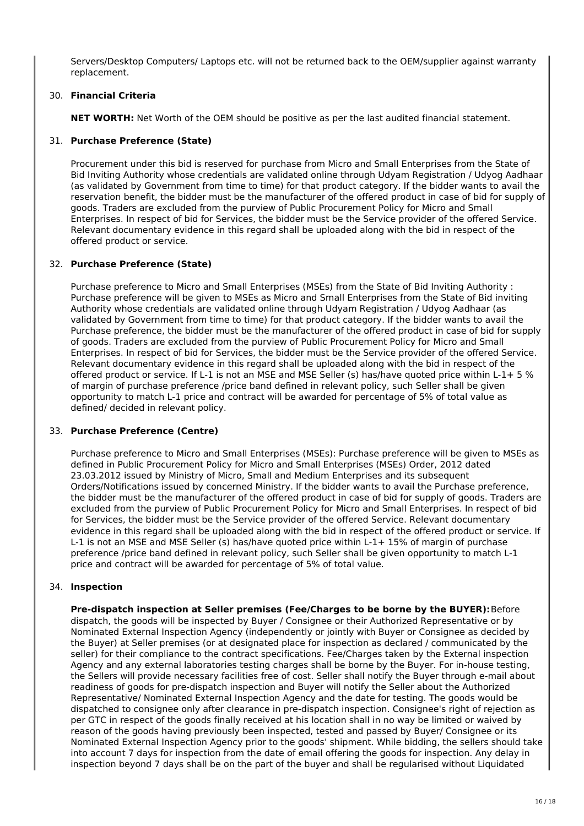Servers/Desktop Computers/ Laptops etc. will not be returned back to the OEM/supplier against warranty replacement.

# 30. **Financial Criteria**

**NET WORTH:** Net Worth of the OEM should be positive as per the last audited financial statement.

# 31. **Purchase Preference (State)**

Procurement under this bid is reserved for purchase from Micro and Small Enterprises from the State of Bid Inviting Authority whose credentials are validated online through Udyam Registration / Udyog Aadhaar (as validated by Government from time to time) for that product category. If the bidder wants to avail the reservation benefit, the bidder must be the manufacturer of the offered product in case of bid for supply of goods. Traders are excluded from the purview of Public Procurement Policy for Micro and Small Enterprises. In respect of bid for Services, the bidder must be the Service provider of the offered Service. Relevant documentary evidence in this regard shall be uploaded along with the bid in respect of the offered product or service.

## 32. **Purchase Preference (State)**

Purchase preference to Micro and Small Enterprises (MSEs) from the State of Bid Inviting Authority : Purchase preference will be given to MSEs as Micro and Small Enterprises from the State of Bid inviting Authority whose credentials are validated online through Udyam Registration / Udyog Aadhaar (as validated by Government from time to time) for that product category. If the bidder wants to avail the Purchase preference, the bidder must be the manufacturer of the offered product in case of bid for supply of goods. Traders are excluded from the purview of Public Procurement Policy for Micro and Small Enterprises. In respect of bid for Services, the bidder must be the Service provider of the offered Service. Relevant documentary evidence in this regard shall be uploaded along with the bid in respect of the offered product or service. If L-1 is not an MSE and MSE Seller (s) has/have quoted price within L-1+ 5 % of margin of purchase preference /price band defined in relevant policy, such Seller shall be given opportunity to match L-1 price and contract will be awarded for percentage of 5% of total value as defined/ decided in relevant policy.

#### 33. **Purchase Preference (Centre)**

Purchase preference to Micro and Small Enterprises (MSEs): Purchase preference will be given to MSEs as defined in Public Procurement Policy for Micro and Small Enterprises (MSEs) Order, 2012 dated 23.03.2012 issued by Ministry of Micro, Small and Medium Enterprises and its subsequent Orders/Notifications issued by concerned Ministry. If the bidder wants to avail the Purchase preference, the bidder must be the manufacturer of the offered product in case of bid for supply of goods. Traders are excluded from the purview of Public Procurement Policy for Micro and Small Enterprises. In respect of bid for Services, the bidder must be the Service provider of the offered Service. Relevant documentary evidence in this regard shall be uploaded along with the bid in respect of the offered product or service. If L-1 is not an MSE and MSE Seller (s) has/have quoted price within L-1+ 15% of margin of purchase preference /price band defined in relevant policy, such Seller shall be given opportunity to match L-1 price and contract will be awarded for percentage of 5% of total value.

#### 34. **Inspection**

**Pre-dispatch inspection at Seller premises (Fee/Charges to be borne by the BUYER):**Before dispatch, the goods will be inspected by Buyer / Consignee or their Authorized Representative or by Nominated External Inspection Agency (independently or jointly with Buyer or Consignee as decided by the Buyer) at Seller premises (or at designated place for inspection as declared / communicated by the seller) for their compliance to the contract specifications. Fee/Charges taken by the External inspection Agency and any external laboratories testing charges shall be borne by the Buyer. For in-house testing, the Sellers will provide necessary facilities free of cost. Seller shall notify the Buyer through e-mail about readiness of goods for pre-dispatch inspection and Buyer will notify the Seller about the Authorized Representative/ Nominated External Inspection Agency and the date for testing. The goods would be dispatched to consignee only after clearance in pre-dispatch inspection. Consignee's right of rejection as per GTC in respect of the goods finally received at his location shall in no way be limited or waived by reason of the goods having previously been inspected, tested and passed by Buyer/ Consignee or its Nominated External Inspection Agency prior to the goods' shipment. While bidding, the sellers should take into account 7 days for inspection from the date of email offering the goods for inspection. Any delay in inspection beyond 7 days shall be on the part of the buyer and shall be regularised without Liquidated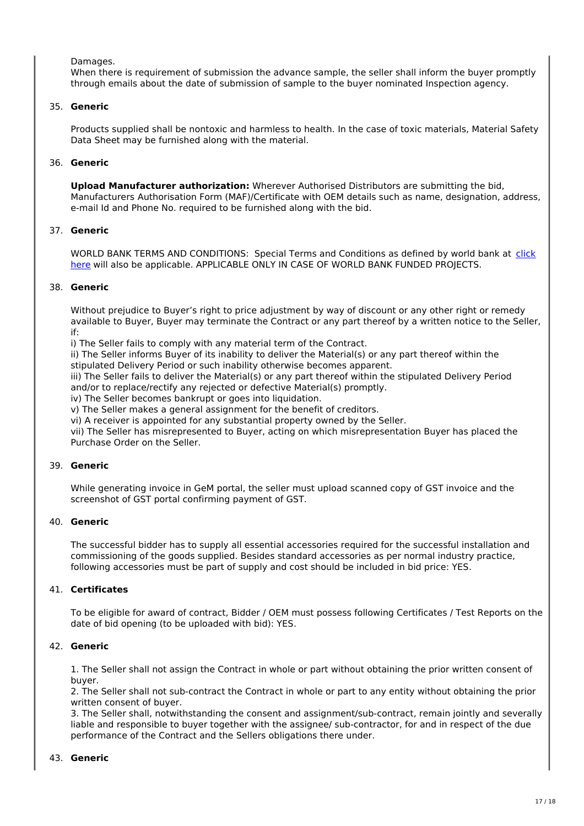Damages.

When there is requirement of submission the advance sample, the seller shall inform the buyer promptly through emails about the date of submission of sample to the buyer nominated Inspection agency.

## 35. **Generic**

Products supplied shall be nontoxic and harmless to health. In the case of toxic materials, Material Safety Data Sheet may be furnished along with the material.

# 36. **Generic**

**Upload Manufacturer authorization:** Wherever Authorised Distributors are submitting the bid, Manufacturers Authorisation Form (MAF)/Certificate with OEM details such as name, designation, address, e-mail Id and Phone No. required to be furnished along with the bid.

## 37. **Generic**

WORLD BANK TERMS AND CONDITIONS: Special Terms and Conditions as defined by world bank at click here will also be applicable. APPLICABLE ONLY IN CASE OF WORLD BANK FUNDED PROJECTS.

#### 38. **Generic**

Without prejudice to Buyer's right to price adjustment by way of discount or any other right or remedy available to Buyer, Buyer may terminate the Contract or any part thereof by a written notice to the Seller, if:

i) The Seller fails to comply with any material term of the Contract.

ii) The Seller informs Buyer of its inability to deliver the Material(s) or any part thereof within the stipulated Delivery Period or such inability otherwise becomes apparent.

iii) The Seller fails to deliver the Material(s) or any part thereof within the stipulated Delivery Period and/or to replace/rectify any rejected or defective Material(s) promptly.

iv) The Seller becomes bankrupt or goes into liquidation.

v) The Seller makes a general assignment for the benefit of creditors.

vi) A receiver is appointed for any substantial property owned by the Seller.

vii) The Seller has misrepresented to Buyer, acting on which misrepresentation Buyer has placed the Purchase Order on the Seller.

#### 39. **Generic**

While generating invoice in GeM portal, the seller must upload scanned copy of GST invoice and the screenshot of GST portal confirming payment of GST.

#### 40. **Generic**

The successful bidder has to supply all essential accessories required for the successful installation and commissioning of the goods supplied. Besides standard accessories as per normal industry practice, following accessories must be part of supply and cost should be included in bid price: YES.

# 41. **Certificates**

To be eligible for award of contract, Bidder / OEM must possess following Certificates / Test Reports on the date of bid opening (to be uploaded with bid): YES.

#### 42. **Generic**

1. The Seller shall not assign the Contract in whole or part without obtaining the prior written consent of buyer.

2. The Seller shall not sub-contract the Contract in whole or part to any entity without obtaining the prior written consent of buyer.

3. The Seller shall, notwithstanding the consent and assignment/sub-contract, remain jointly and severally liable and responsible to buyer together with the assignee/ sub-contractor, for and in respect of the due performance of the Contract and the Sellers obligations there under.

#### 43. **Generic**